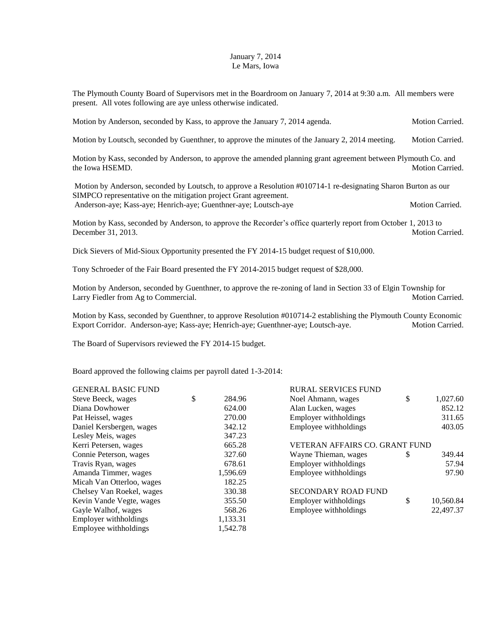## January 7, 2014 Le Mars, Iowa

The Plymouth County Board of Supervisors met in the Boardroom on January 7, 2014 at 9:30 a.m. All members were present. All votes following are aye unless otherwise indicated.

|  | Motion by Anderson, seconded by Kass, to approve the January 7, 2014 agenda. | <b>Motion Carried.</b> |
|--|------------------------------------------------------------------------------|------------------------|
|  |                                                                              |                        |

Motion by Loutsch, seconded by Guenthner, to approve the minutes of the January 2, 2014 meeting. Motion Carried.

Motion by Kass, seconded by Anderson, to approve the amended planning grant agreement between Plymouth Co. and the Iowa HSEMD. Motion Carried.

Motion by Anderson, seconded by Loutsch, to approve a Resolution #010714-1 re-designating Sharon Burton as our SIMPCO representative on the mitigation project Grant agreement. Anderson-aye; Kass-aye; Henrich-aye; Guenthner-aye; Loutsch-aye Motion Carried.

Motion by Kass, seconded by Anderson, to approve the Recorder's office quarterly report from October 1, 2013 to December 31, 2013. Motion Carried.

Dick Sievers of Mid-Sioux Opportunity presented the FY 2014-15 budget request of \$10,000.

Tony Schroeder of the Fair Board presented the FY 2014-2015 budget request of \$28,000.

Motion by Anderson, seconded by Guenthner, to approve the re-zoning of land in Section 33 of Elgin Township for Larry Fiedler from Ag to Commercial. The commercial control of the control of the control of the control of the control of the control of the control of the control of the control of the control of the control of the contr

Motion by Kass, seconded by Guenthner, to approve Resolution #010714-2 establishing the Plymouth County Economic Export Corridor. Anderson-aye; Kass-aye; Henrich-aye; Guenthner-aye; Loutsch-aye. Motion Carried.

The Board of Supervisors reviewed the FY 2014-15 budget.

Board approved the following claims per payroll dated 1-3-2014:

| <b>GENERAL BASIC FUND</b> |              | <b>RURAL SERVICES FUND</b>     |               |           |
|---------------------------|--------------|--------------------------------|---------------|-----------|
| Steve Beeck, wages        | \$<br>284.96 | Noel Ahmann, wages             | \$            | 1,027.60  |
| Diana Dowhower            | 624.00       | Alan Lucken, wages             |               | 852.12    |
| Pat Heissel, wages        | 270.00       | Employer withholdings          |               | 311.65    |
| Daniel Kersbergen, wages  | 342.12       | Employee withholdings          |               | 403.05    |
| Lesley Meis, wages        | 347.23       |                                |               |           |
| Kerri Petersen, wages     | 665.28       | VETERAN AFFAIRS CO. GRANT FUND |               |           |
| Connie Peterson, wages    | 327.60       | Wayne Thieman, wages           | <sup>\$</sup> | 349.44    |
| Travis Ryan, wages        | 678.61       | Employer withholdings          |               | 57.94     |
| Amanda Timmer, wages      | 1,596.69     | Employee withholdings          |               | 97.90     |
| Micah Van Otterloo, wages | 182.25       |                                |               |           |
| Chelsey Van Roekel, wages | 330.38       | <b>SECONDARY ROAD FUND</b>     |               |           |
| Kevin Vande Vegte, wages  | 355.50       | Employer withholdings          | \$            | 10,560.84 |
| Gayle Walhof, wages       | 568.26       | Employee withholdings          |               | 22,497.37 |
| Employer withholdings     | 1,133.31     |                                |               |           |
| Employee withholdings     | 1.542.78     |                                |               |           |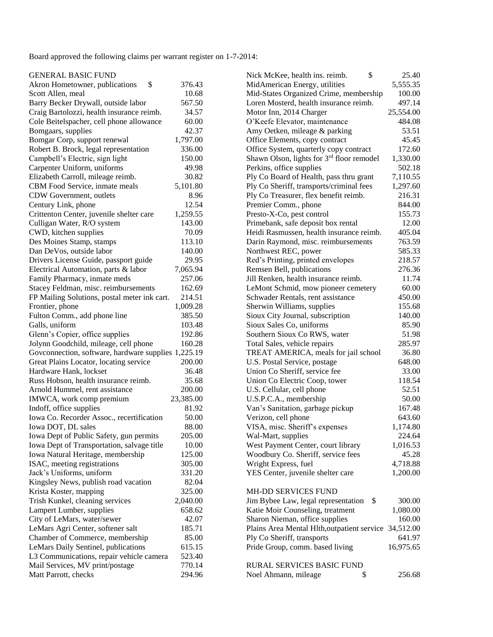Board approved the following claims per warrant register on 1-7-2014:

| <b>GENERAL BASIC FUND</b> |  |  |  |
|---------------------------|--|--|--|
|                           |  |  |  |

| <b>GENERAL BASIC FUND</b>                           |                    | \$<br>Nick McKee, health ins. reimb.                  | 25.40     |
|-----------------------------------------------------|--------------------|-------------------------------------------------------|-----------|
| \$<br>Akron Hometowner, publications                | 376.43             | MidAmerican Energy, utilities                         | 5,555.35  |
| Scott Allen, meal                                   | 10.68              | Mid-States Organized Crime, membership                | 100.00    |
| Barry Becker Drywall, outside labor                 | 567.50             | Loren Mosterd, health insurance reimb.                | 497.14    |
| Craig Bartolozzi, health insurance reimb.           | 34.57              | Motor Inn, 2014 Charger                               | 25,554.00 |
| Cole Beitelspacher, cell phone allowance            | 60.00              | O'Keefe Elevator, maintenance                         | 484.08    |
| Bomgaars, supplies                                  | 42.37              | Amy Oetken, mileage & parking                         | 53.51     |
| Bomgar Corp, support renewal                        | 1,797.00           | Office Elements, copy contract                        | 45.45     |
| Robert B. Brock, legal representation               | 336.00             | Office System, quarterly copy contract                | 172.60    |
| Campbell's Electric, sign light                     | 150.00             | Shawn Olson, lights for 3rd floor remodel             | 1,330.00  |
| Carpenter Uniform, uniforms                         | 49.98              | Perkins, office supplies                              | 502.18    |
| Elizabeth Carroll, mileage reimb.                   | 30.82              | Ply Co Board of Health, pass thru grant               | 7,110.55  |
| CBM Food Service, inmate meals                      | 5,101.80           | Ply Co Sheriff, transports/criminal fees              | 1,297.60  |
| CDW Government, outlets                             | 8.96               | Ply Co Treasurer, flex benefit reimb.                 | 216.31    |
| Century Link, phone                                 | 12.54              | Premier Comm., phone                                  | 844.00    |
| Crittenton Center, juvenile shelter care            | 1,259.55           | Presto-X-Co, pest control                             | 155.73    |
| Culligan Water, R/O system                          | 143.00             | Primebank, safe deposit box rental                    | 12.00     |
| CWD, kitchen supplies                               | 70.09              | Heidi Rasmussen, health insurance reimb.              | 405.04    |
| Des Moines Stamp, stamps                            | 113.10             | Darin Raymond, misc. reimbursements                   | 763.59    |
| Dan DeVos, outside labor                            | 140.00             | Northwest REC, power                                  | 585.33    |
| Drivers License Guide, passport guide               | 29.95              | Red's Printing, printed envelopes                     | 218.57    |
| Electrical Automation, parts & labor                | 7,065.94           | Remsen Bell, publications                             | 276.36    |
| Family Pharmacy, inmate meds                        | 257.06             | Jill Renken, health insurance reimb.                  | 11.74     |
| Stacey Feldman, misc. reimbursements                | 162.69             | LeMont Schmid, mow pioneer cemetery                   | 60.00     |
| FP Mailing Solutions, postal meter ink cart.        | 214.51             | Schwader Rentals, rent assistance                     | 450.00    |
| Frontier, phone                                     | 1,009.28           | Sherwin Williams, supplies                            | 155.68    |
| Fulton Comm., add phone line                        | 385.50             | Sioux City Journal, subscription                      | 140.00    |
| Galls, uniform                                      | 103.48             | Sioux Sales Co, uniforms                              | 85.90     |
| Glenn's Copier, office supplies                     | 192.86             | Southern Sioux Co RWS, water                          | 51.98     |
| Jolynn Goodchild, mileage, cell phone               | 160.28             | Total Sales, vehicle repairs                          | 285.97    |
| Govconnection, software, hardware supplies 1,225.19 |                    | TREAT AMERICA, meals for jail school                  | 36.80     |
| Great Plains Locator, locating service              | 200.00             | U.S. Postal Service, postage                          | 648.00    |
| Hardware Hank, lockset                              | 36.48              | Union Co Sheriff, service fee                         | 33.00     |
| Russ Hobson, health insurance reimb.                | 35.68              | Union Co Electric Coop, tower                         | 118.54    |
| Arnold Hummel, rent assistance                      | 200.00             | U.S. Cellular, cell phone                             | 52.51     |
| IMWCA, work comp premium                            | 23,385.00          | U.S.P.C.A., membership                                | 50.00     |
| Indoff, office supplies                             | 81.92              | Van's Sanitation, garbage pickup                      | 167.48    |
| Iowa Co. Recorder Assoc., recertification           | 50.00              | Verizon, cell phone                                   | 643.60    |
| Iowa DOT, DL sales                                  | 88.00              | VISA, misc. Sheriff's expenses                        | 1,174.80  |
| Iowa Dept of Public Safety, gun permits             | 205.00             | Wal-Mart, supplies                                    | 224.64    |
| Iowa Dept of Transportation, salvage title          | 10.00              | West Payment Center, court library                    | 1,016.53  |
| Iowa Natural Heritage, membership                   | 125.00             | Woodbury Co. Sheriff, service fees                    | 45.28     |
| ISAC, meeting registrations                         | 305.00             | Wright Express, fuel                                  | 4,718.88  |
| Jack's Uniforms, uniform                            | 331.20             | YES Center, juvenile shelter care                     | 1,200.00  |
| Kingsley News, publish road vacation                | 82.04              |                                                       |           |
| Krista Koster, mapping                              | 325.00             | MH-DD SERVICES FUND                                   |           |
|                                                     |                    | -S                                                    | 300.00    |
| Trish Kunkel, cleaning services                     | 2,040.00<br>658.62 | Jim Bybee Law, legal representation                   |           |
| Lampert Lumber, supplies                            |                    | Katie Moir Counseling, treatment                      | 1,080.00  |
| City of LeMars, water/sewer                         | 42.07              | Sharon Nieman, office supplies                        | 160.00    |
| LeMars Agri Center, softener salt                   | 185.71             | Plains Area Mental Hlth, outpatient service 34,512.00 |           |
| Chamber of Commerce, membership                     | 85.00              | Ply Co Sheriff, transports                            | 641.97    |
| LeMars Daily Sentinel, publications                 | 615.15             | Pride Group, comm. based living                       | 16,975.65 |
| L3 Communications, repair vehicle camera            | 523.40             |                                                       |           |
| Mail Services, MV print/postage                     | 770.14             | RURAL SERVICES BASIC FUND                             |           |
| Matt Parrott, checks                                | 294.96             | Noel Ahmann, mileage<br>\$                            | 256.68    |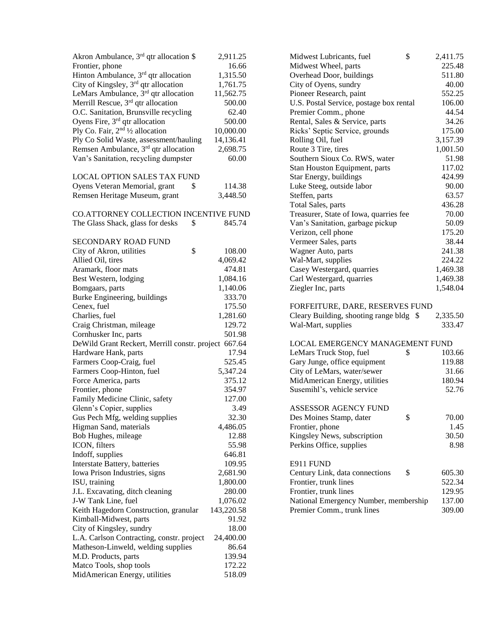| Akron Ambulance, 3 <sup>rd</sup> qtr allocation \$   | 2,911.25   | \$<br>Midwest Lubricants, fuel          | 2,411          |
|------------------------------------------------------|------------|-----------------------------------------|----------------|
| Frontier, phone                                      | 16.66      | Midwest Wheel, parts                    | 225            |
| Hinton Ambulance, 3rd qtr allocation                 | 1,315.50   | Overhead Door, buildings                | 511            |
| City of Kingsley, 3 <sup>rd</sup> qtr allocation     | 1,761.75   | City of Oyens, sundry                   | 40             |
| LeMars Ambulance, 3rd qtr allocation                 | 11,562.75  | Pioneer Research, paint                 | 552            |
| Merrill Rescue, 3 <sup>rd</sup> qtr allocation       | 500.00     | U.S. Postal Service, postage box rental | 106            |
| O.C. Sanitation, Brunsville recycling                | 62.40      | Premier Comm., phone                    | 44             |
| Oyens Fire, $3rd$ qtr allocation                     | 500.00     | Rental, Sales & Service, parts          | 34             |
| Ply Co. Fair, $2nd$ 1/2 allocation                   | 10,000.00  | Ricks' Septic Service, grounds          | 175            |
| Ply Co Solid Waste, assessment/hauling               | 14,136.41  | Rolling Oil, fuel                       | 3,157          |
| Remsen Ambulance, 3 <sup>rd</sup> qtr allocation     | 2,698.75   | Route 3 Tire, tires                     | 1,001          |
| Van's Sanitation, recycling dumpster                 | 60.00      | Southern Sioux Co. RWS, water           | 51             |
|                                                      |            | Stan Houston Equipment, parts           | 117            |
| <b>LOCAL OPTION SALES TAX FUND</b>                   |            | Star Energy, buildings                  | 424            |
| \$<br>Oyens Veteran Memorial, grant                  | 114.38     | Luke Steeg, outside labor               | 90             |
| Remsen Heritage Museum, grant                        | 3,448.50   | Steffen, parts                          | 63             |
|                                                      |            | Total Sales, parts                      | 436            |
| <b>CO.ATTORNEY COLLECTION INCENTIVE FUND</b>         |            | Treasurer, State of Iowa, quarries fee  | 70             |
| \$<br>The Glass Shack, glass for desks               | 845.74     | Van's Sanitation, garbage pickup        | 50             |
|                                                      |            | Verizon, cell phone                     | 175            |
| SECONDARY ROAD FUND                                  |            | Vermeer Sales, parts                    | 38             |
| \$<br>City of Akron, utilities                       | 108.00     | Wagner Auto, parts                      | 241            |
| Allied Oil, tires                                    | 4,069.42   | Wal-Mart, supplies                      | 224            |
| Aramark, floor mats                                  | 474.81     | Casey Westergard, quarries              | 1,469          |
| Best Western, lodging                                | 1,084.16   | Carl Westergard, quarries               | 1,469          |
| Bomgaars, parts                                      | 1,140.06   | Ziegler Inc, parts                      | 1,548          |
| Burke Engineering, buildings                         | 333.70     |                                         |                |
| Cenex, fuel                                          | 175.50     | FORFEITURE, DARE, RESERVES FUND         |                |
| Charlies, fuel                                       | 1,281.60   | Cleary Building, shooting range bldg \$ | 2,335          |
| Craig Christman, mileage                             | 129.72     | Wal-Mart, supplies                      | 333            |
| Cornhusker Inc, parts                                | 501.98     |                                         |                |
| DeWild Grant Reckert, Merrill constr. project 667.64 |            | LOCAL EMERGENCY MANAGEMENT FUND         |                |
| Hardware Hank, parts                                 | 17.94      | LeMars Truck Stop, fuel<br>\$           | 103            |
| Farmers Coop-Craig, fuel                             | 525.45     | Gary Junge, office equipment            | 119            |
| Farmers Coop-Hinton, fuel                            | 5,347.24   | City of LeMars, water/sewer             | 31             |
| Force America, parts                                 | 375.12     | MidAmerican Energy, utilities           | 180            |
| Frontier, phone                                      | 354.97     | Susemihl's, vehicle service             | 52             |
| Family Medicine Clinic, safety                       | 127.00     |                                         |                |
| Glenn's Copier, supplies                             | 3.49       | <b>ASSESSOR AGENCY FUND</b>             |                |
| Gus Pech Mfg, welding supplies                       | 32.30      | \$<br>Des Moines Stamp, dater           | 7 <sub>C</sub> |
| Higman Sand, materials                               | 4,486.05   | Frontier, phone                         | 1              |
| Bob Hughes, mileage                                  | 12.88      | Kingsley News, subscription             | 3 <sup>0</sup> |
| ICON, filters                                        | 55.98      | Perkins Office, supplies                | S              |
| Indoff, supplies                                     | 646.81     |                                         |                |
| Interstate Battery, batteries                        | 109.95     | E911 FUND                               |                |
| Iowa Prison Industries, signs                        | 2,681.90   | \$<br>Century Link, data connections    | 605            |
| ISU, training                                        | 1,800.00   | Frontier, trunk lines                   | 522            |
| J.L. Excavating, ditch cleaning                      | 280.00     | Frontier, trunk lines                   | 129            |
| J-W Tank Line, fuel                                  | 1,076.02   | National Emergency Number, membership   | 137            |
| Keith Hagedorn Construction, granular                | 143,220.58 | Premier Comm., trunk lines              | 309            |
| Kimball-Midwest, parts                               | 91.92      |                                         |                |
| City of Kingsley, sundry                             | 18.00      |                                         |                |
| L.A. Carlson Contracting, constr. project            | 24,400.00  |                                         |                |
| Matheson-Linweld, welding supplies                   | 86.64      |                                         |                |
| M.D. Products, parts                                 | 139.94     |                                         |                |
| Matco Tools, shop tools                              | 172.22     |                                         |                |
| MidAmerican Energy, utilities                        | 518.09     |                                         |                |

| Akron Ambulance, $3rd$ qtr allocation \$             | 2,911.25   | \$<br>Midwest Lubricants, fuel          | 2,411.75 |
|------------------------------------------------------|------------|-----------------------------------------|----------|
| Frontier, phone                                      | 16.66      | Midwest Wheel, parts                    | 225.48   |
| Hinton Ambulance, 3 <sup>rd</sup> qtr allocation     | 1,315.50   | Overhead Door, buildings                | 511.80   |
| City of Kingsley, 3 <sup>rd</sup> qtr allocation     | 1,761.75   | City of Oyens, sundry                   | 40.00    |
| LeMars Ambulance, 3 <sup>rd</sup> qtr allocation     | 11,562.75  | Pioneer Research, paint                 | 552.25   |
| Merrill Rescue, 3 <sup>rd</sup> qtr allocation       | 500.00     | U.S. Postal Service, postage box rental | 106.00   |
| O.C. Sanitation, Brunsville recycling                | 62.40      | Premier Comm., phone                    | 44.54    |
| Oyens Fire, 3 <sup>rd</sup> qtr allocation           | 500.00     | Rental, Sales & Service, parts          | 34.26    |
| Ply Co. Fair, 2 <sup>nd 1</sup> /2 allocation        | 10,000.00  | Ricks' Septic Service, grounds          | 175.00   |
| Ply Co Solid Waste, assessment/hauling               | 14,136.41  | Rolling Oil, fuel                       | 3,157.39 |
| Remsen Ambulance, 3 <sup>rd</sup> qtr allocation     | 2,698.75   | Route 3 Tire, tires                     | 1,001.50 |
| Van's Sanitation, recycling dumpster                 | 60.00      | Southern Sioux Co. RWS, water           | 51.98    |
|                                                      |            | Stan Houston Equipment, parts           | 117.02   |
| LOCAL OPTION SALES TAX FUND                          |            | Star Energy, buildings                  | 424.99   |
| \$<br>Oyens Veteran Memorial, grant                  | 114.38     | Luke Steeg, outside labor               | 90.00    |
| Remsen Heritage Museum, grant                        | 3,448.50   | Steffen, parts                          | 63.57    |
|                                                      |            | Total Sales, parts                      | 436.28   |
| CO.ATTORNEY COLLECTION INCENTIVE FUND                |            | Treasurer, State of Iowa, quarries fee  | 70.00    |
| \$<br>The Glass Shack, glass for desks               | 845.74     | Van's Sanitation, garbage pickup        | 50.09    |
|                                                      |            | Verizon, cell phone                     | 175.20   |
| SECONDARY ROAD FUND                                  |            | Vermeer Sales, parts                    | 38.44    |
| \$<br>City of Akron, utilities                       | 108.00     | Wagner Auto, parts                      | 241.38   |
| Allied Oil, tires                                    | 4,069.42   | Wal-Mart, supplies                      | 224.22   |
| Aramark, floor mats                                  | 474.81     | Casey Westergard, quarries              | 1,469.38 |
| Best Western, lodging                                | 1,084.16   | Carl Westergard, quarries               | 1,469.38 |
| Bomgaars, parts                                      | 1,140.06   | Ziegler Inc, parts                      | 1,548.04 |
| Burke Engineering, buildings                         | 333.70     |                                         |          |
| Cenex, fuel                                          | 175.50     | FORFEITURE, DARE, RESERVES FUND         |          |
| Charlies, fuel                                       | 1,281.60   | Cleary Building, shooting range bldg \$ | 2,335.50 |
| Craig Christman, mileage                             | 129.72     | Wal-Mart, supplies                      | 333.47   |
| Cornhusker Inc, parts                                | 501.98     |                                         |          |
| DeWild Grant Reckert, Merrill constr. project 667.64 |            | LOCAL EMERGENCY MANAGEMENT FUND         |          |
| Hardware Hank, parts                                 | 17.94      | LeMars Truck Stop, fuel<br>\$           | 103.66   |
| Farmers Coop-Craig, fuel                             | 525.45     | Gary Junge, office equipment            | 119.88   |
| Farmers Coop-Hinton, fuel                            | 5,347.24   | City of LeMars, water/sewer             | 31.66    |
| Force America, parts                                 | 375.12     | MidAmerican Energy, utilities           | 180.94   |
| Frontier, phone                                      | 354.97     | Susemihl's, vehicle service             | 52.76    |
| Family Medicine Clinic, safety                       | 127.00     |                                         |          |
| Glenn's Copier, supplies                             | 3.49       | <b>ASSESSOR AGENCY FUND</b>             |          |
| Gus Pech Mfg, welding supplies                       | 32.30      | \$<br>Des Moines Stamp, dater           | 70.00    |
| Higman Sand, materials                               | 4,486.05   | Frontier, phone                         | 1.45     |
| Bob Hughes, mileage                                  | 12.88      | Kingsley News, subscription             | 30.50    |
| ICON, filters                                        | 55.98      | Perkins Office, supplies                | 8.98     |
| Indoff, supplies                                     | 646.81     |                                         |          |
| Interstate Battery, batteries                        | 109.95     | E911 FUND                               |          |
| Iowa Prison Industries, signs                        | 2,681.90   | \$<br>Century Link, data connections    | 605.30   |
| ISU, training                                        | 1,800.00   | Frontier, trunk lines                   | 522.34   |
| J.L. Excavating, ditch cleaning                      | 280.00     | Frontier, trunk lines                   | 129.95   |
| J-W Tank Line, fuel                                  | 1,076.02   | National Emergency Number, membership   | 137.00   |
| Keith Hagedorn Construction, granular                | 143,220.58 | Premier Comm., trunk lines              | 309.00   |
|                                                      |            |                                         |          |